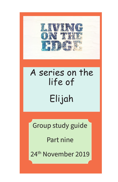

# A series on the life of Elijah

Group study guide

Part nine

24th November 2019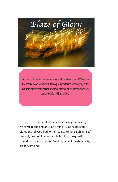

How many of us dream about going out with a "Blaze of glory?" But when the smoke clears, what is left? How quickly will our "Blaze of glory last?" If you are interested in going out with a "blaze of glory" there is a way you can do it which will last for ever.

In this last installment of our series "Living on the edge" we come to the end of Elijah's ministry, as he has completed the job God had for him to do. Whilst Elijah himself certainly goes off in memorable fashion, the question is what does he leave behind? All his years of tough ministry are to what end?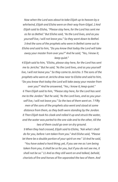*Now when the Lord was about to take Elijah up to heaven by a whirlwind, Elijah and Elisha were on their way from Gilgal. 2 And Elijah said to Elisha, "Please stay here, for the Lord has sent me as far as Bethel." But Elisha said, "As the Lord lives, and as you yourself live, I will not leave you." So they went down to Bethel. 3 And the sons of the prophets who were in Bethel came out to Elisha and said to him, "Do you know that today the Lord will take away your master from over you?" And he said, "Yes, I know it; keep quiet."* 

*4 Elijah said to him, "Elisha, please stay here, for the Lord has sent me to Jericho." But he said, "As the Lord lives, and as you yourself live, I will not leave you." So they came to Jericho. 5 The sons of the prophets who were at Jericho drew near to Elisha and said to him, "Do you know that today the Lord will take away your master from* 

*over you?" And he answered, "Yes, I know it; keep quiet." 6 Then Elijah said to him, "Please stay here, for the Lord has sent me to the Jordan." But he said, "As the Lord lives, and as you yourself live, I will not leave you." So the two of them went on. 7 Fifty men of the sons of the prophets also went and stood at some distance from them, as they both were standing by the Jordan. 8 Then Elijah took his cloak and rolled it up and struck the water, and the water was parted to the one side and to the other, till the two of them could go over on dry ground.* 

*9 When they had crossed, Elijah said to Elisha, "Ask what I shall do for you, before I am taken from you." And Elisha said, "Please let there be a double portion of your spirit on me." 10 And he said,* 

*"You have asked a hard thing; yet, if you see me as I am being taken from you, it shall be so for you, but if you do not see me, it shall not be so." 11 And as they still went on and talked, behold, chariots of fire and horses of fire separated the two of them. And*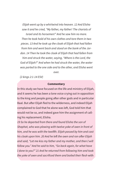*Elijah went up by a whirlwind into heaven. 12 And Elisha saw it and he cried, "My father, my father! The chariots of Israel and its horsemen!" And he saw him no more.* 

*Then he took hold of his own clothes and tore them in two pieces. 13 And he took up the cloak of Elijah that had fallen from him and went back and stood on the bank of the Jordan. 14 Then he took the cloak of Elijah that had fallen from him and struck the water, saying, "Where is the Lord, the God of Elijah?" And when he had struck the water, the water was parted to the one side and to the other, and Elisha went over.* 

*(2 kings 2:1-14 ESV)*

#### **Commentary**

In this study we have focused on the life and ministry of Elijah, and it seems he has been a lone voice crying out in opposition to the king and people going after other gods and in particular Baal. But after Elijah fled to the wilderness, and indeed Elijah complained to God that he alone was left, God told him that would not be so, and indeed gave him the assignment of calling his replacement; Elisha.

*19 So he departed from there and found Elisha the son of Shaphat, who was plowing with twelve yoke of oxen in front of him, and he was with the twelfth. Elijah passed by him and cast his cloak upon him. 20 And he left the oxen and ran after Elijah and said, "Let me kiss my father and my mother, and then I will follow you." And he said to him, "Go back again, for what have I done to you?" 21 And he returned from following him and took the yoke of oxen and sacrificed them and boiled their flesh* with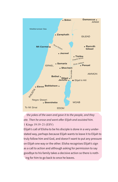

t*he yokes of the oxen and gave it to the people, and they ate. Then he arose and went after Elijah and assisted him.* 1 Kings 19:19–21 (ESV)

Elijah's call of Elisha to be his disciple is done in a very understated way, perhaps because Elijah wants to leave it to Elijah to truly follow him and God, and doesn't want to put any pressure on Elijah one way or the other. Elisha recognises Elijah's sign as a call to action and although asking for permission to say goodbye to his family takes a decisive action so there is nothing for him to go back to once he leaves.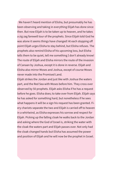We haven't heard mention of Elisha, but presumably he has been observing and taking in everything Elijah has done since then. But now Elijah is to be taken up to heaven, and he takes a zig zag farewell tour of the prophets. Since Elijah told God he was alone it seems things have changed! At each stopping off point Elijah urges Elisha to stay behind, but Elisha refuses. The prophets also remind Elisha of his upcoming loss, but Elisha tells them to be quiet, tell me something I don't already know! The route of Elijah and Elisha mirrors the route of the invasion of Canaan by Joshua, except it is done in reverse. Elijah and Elisha also mirror Moses and Joshua, except of course Moses never made into the Promised Land.

Elijah strikes the Jordan and just like with Joshua the waters part, and the Red Sea with Moses before him. They cross over observed by 50 prophets. Elijah asks Elisha if he has a request before he goes. Elisha does; to take over from Elijah. Elijah says he has asked for something hard, but nonetheless if he sees what happens it will be a sign his request has been granted. Fiery chariots separate the two and Elijah is carried off to heaven in a whirlwind, as Elisha expresses his sorrow and respect for Elijah. Picking up the falling cloak he walks back to the Jordan and asking where the God of Israel is, striking the water with the cloak the waters part and Elijah passes over. Not only had the cloak changed hands but Elisha has assumed the power and position of Elijah and he will now be the prophet in Israel.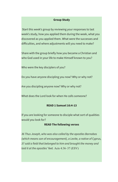## **Group Study**

 Start this week's group by reviewing your responses to last week's study, how you applied them during the week, what you discovered as you applied them. What were the successes and difficulties, and where adjustments will you need to make?

Share with the group briefly how you became a Christian and who God used in your life to make Himself known to you?

Who were the key disciplers of you?

Do you have anyone discipling you now? Why or why not?

Are you discipling anyone now? Why or why not?

What does the Lord look for when He calls someone?

#### **READ 1 Samuel 16:4-13**

If you are looking for someone to disciple what sort of qualities would you look for?

#### **READ The following verses**

*36 Thus Joseph, who was also called by the apostles Barnabas (which means son of encouragement), a Levite, a native of Cyprus, 37 sold a field that belonged to him and brought the money and laid it at the apostles' feet.* Acts 4:36–37 (ESV)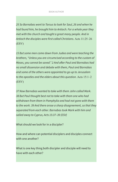#### BOOK AUTHOR

*25 So Barnabas went to Tarsus to look for Saul, 26 and when he had found him, he brought him to Antioch. For a whole year they met with the church and taught a great many people. And in Antioch the disciples were first called Christians.* Acts 11:25–26 (ESV)

*15 But some men came down from Judea and were teaching the brothers, "Unless you are circumcised according to the custom of Moses, you cannot be saved." 2 And after Paul and Barnabas had no small dissension and debate with them, Paul and Barnabas and some of the others were appointed to go up to Jerusalem to the apostles and the elders about this question*. Acts 15:1–2 (ESV)

*37 Now Barnabas wanted to take with them John called Mark. 38 But Paul thought best not to take with them one who had withdrawn from them in Pamphylia and had not gone with them to the work. 39 And there arose a sharp disagreement, so that they separated from each other. Barnabas took Mark with him and sailed away to Cyprus, Acts 15:37–39 (ESV)*

What should we look for in a discipler?

How and where can potential disciplers and disciples connect with one another?

What is one key thing both discipler and disciple will need to have with each other?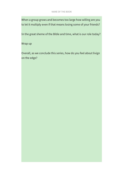When a group grows and becomes too large how willing are you to let it multiply even if that means losing some of your friends?

In the great sheme of the Bible and time, what is our role today?

Wrap up

Overall, as we conclude this series, how do you feel about livign on the edge?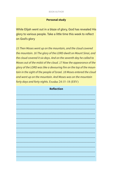## **Personal study**

While Elijah went out in a blaze of glory, God has revealed His glory to various people. Take a little time this week to reflect on God's glory

*15 Then Moses went up on the mountain, and the cloud covered the mountain. 16 The glory of the LORD dwelt on Mount Sinai, and the cloud covered it six days. And on the seventh day he called to Moses out of the midst of the cloud. 17 Now the appearance of the glory of the LORD was like a devouring fire on the top of the mountain in the sight of the people of Israel. 18 Moses entered the cloud and went up on the mountain. And Moses was on the mountain forty days and forty nights.* Exodus 24:15–18 (ESV)

| <b>Reflection</b> |
|-------------------|
|                   |
|                   |
|                   |
|                   |
|                   |
|                   |
|                   |
|                   |
|                   |
|                   |
|                   |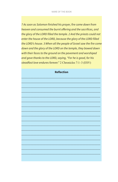*7 As soon as Solomon finished his prayer, fire came down from heaven and consumed the burnt offering and the sacrifices, and the glory of the LORD filled the temple. 2 And the priests could not enter the house of the LORD, because the glory of the LORD filled the LORD's house. 3 When all the people of Israel saw the fire come down and the glory of the LORD on the temple, they bowed down with their faces to the ground on the pavement and worshiped and gave thanks to the LORD, saying, "For he is good, for his steadfast love endures forever."* 2 Chronicles 7:1–3 (ESV)

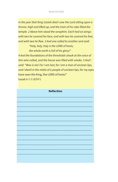#### BOOK AUTHOR

*In the year that King Uzziah died I saw the Lord sitting upon a throne, high and lifted up; and the train of his robe filled the temple. 2 Above him stood the seraphim. Each had six wings: with two he covered his face, and with two he covered his feet, and with two he flew. 3 And one called to another and said:* 

> *"Holy, holy, holy is the LORD of hosts; the whole earth is full of his glory!"*

*4 And the foundations of the thresholds shook at the voice of him who called, and the house was filled with smoke. 5 And I said: "Woe is me! For I am lost; for I am a man of unclean lips,*  and I dwell in the midst of a people of unclean lips; for my eyes have seen the King, the LORD of hosts!"

Isaiah 6:1-5 (ESV)

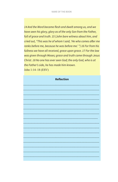*14 And the Word became flesh and dwelt among us, and we have seen his glory, glory as of the only Son from the Father, full of grace and truth. 15 (John bore witness about him, and cried out, "This was he of whom I said, 'He who comes after me ranks before me, because he was before me.' ") 16 For from his fullness we have all received, grace upon grace. 17 For the law was given through Moses; grace and truth came through Jesus Christ. 18 No one has ever seen God; the only God, who is at the Father's side, he has made him known.* John 1:14–18 (ESV)